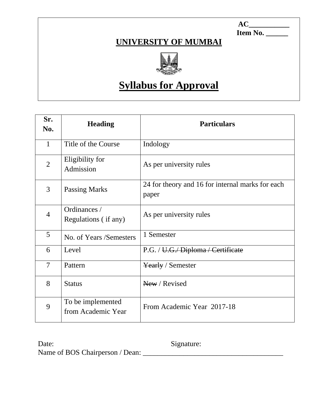**AC\_\_\_\_\_\_\_\_\_\_\_\_ Item No. \_\_\_\_\_\_**

# **UNIVERSITY OF MUMBAI**



# **Syllabus for Approval**

| Sr.<br>No.     | <b>Heading</b>                          | <b>Particulars</b>                                        |
|----------------|-----------------------------------------|-----------------------------------------------------------|
| $\mathbf{1}$   | Title of the Course                     | Indology                                                  |
| $\overline{2}$ | Eligibility for<br>Admission            | As per university rules                                   |
| 3              | <b>Passing Marks</b>                    | 24 for theory and 16 for internal marks for each<br>paper |
| 4              | Ordinances /<br>Regulations (if any)    | As per university rules                                   |
| 5 <sup>5</sup> | No. of Years /Semesters                 | 1 Semester                                                |
| 6              | Level                                   | P.G. / U.G./ Diploma / Certificate                        |
| $\overline{7}$ | Pattern                                 | <b>Yearly / Semester</b>                                  |
| 8              | <b>Status</b>                           | New / Revised                                             |
| 9              | To be implemented<br>from Academic Year | From Academic Year 2017-18                                |

Date: Signature: Name of BOS Chairperson / Dean: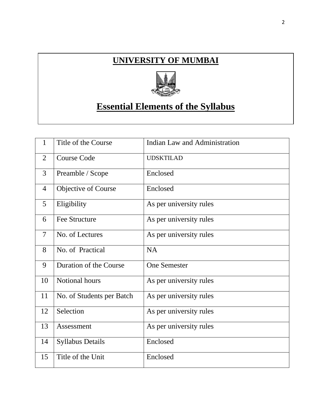# **UNIVERSITY OF MUMBAI**



# **Essential Elements of the Syllabus**

| 1              | Title of the Course       | Indian Law and Administration |
|----------------|---------------------------|-------------------------------|
| $\overline{2}$ | <b>Course Code</b>        | <b>UDSKTILAD</b>              |
| 3              | Preamble / Scope          | Enclosed                      |
| $\overline{4}$ | Objective of Course       | Enclosed                      |
| 5              | Eligibility               | As per university rules       |
| 6              | <b>Fee Structure</b>      | As per university rules       |
| $\overline{7}$ | No. of Lectures           | As per university rules       |
| 8              | No. of Practical          | <b>NA</b>                     |
| 9              | Duration of the Course    | <b>One Semester</b>           |
| 10             | Notional hours            | As per university rules       |
| 11             | No. of Students per Batch | As per university rules       |
| 12             | Selection                 | As per university rules       |
| 13             | Assessment                | As per university rules       |
| 14             | <b>Syllabus Details</b>   | Enclosed                      |
| 15             | Title of the Unit         | Enclosed                      |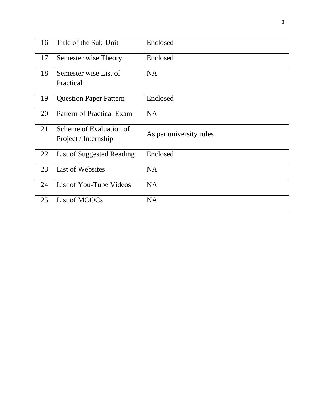| 16 | Title of the Sub-Unit                           | Enclosed                |
|----|-------------------------------------------------|-------------------------|
| 17 | Semester wise Theory                            | Enclosed                |
| 18 | Semester wise List of<br>Practical              | <b>NA</b>               |
| 19 | <b>Question Paper Pattern</b>                   | Enclosed                |
| 20 | Pattern of Practical Exam                       | <b>NA</b>               |
| 21 | Scheme of Evaluation of<br>Project / Internship | As per university rules |
| 22 | List of Suggested Reading                       | Enclosed                |
| 23 | List of Websites                                | <b>NA</b>               |
| 24 | List of You-Tube Videos                         | <b>NA</b>               |
| 25 | List of MOOCs                                   | <b>NA</b>               |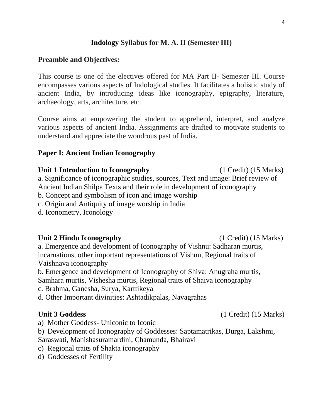# **Indology Syllabus for M. A. II (Semester III)**

## **Preamble and Objectives:**

This course is one of the electives offered for MA Part II- Semester III. Course encompasses various aspects of Indological studies. It facilitates a holistic study of ancient India, by introducing ideas like iconography, epigraphy, literature, archaeology, arts, architecture, etc.

Course aims at empowering the student to apprehend, interpret, and analyze various aspects of ancient India. Assignments are drafted to motivate students to understand and appreciate the wondrous past of India.

#### **Paper I: Ancient Indian Iconography**

# **Unit 1 Introduction to Iconography** (1 Credit) (15 Marks) a. Significance of iconographic studies, sources, Text and image: Brief review of Ancient Indian Shilpa Texts and their role in development of iconography b. Concept and symbolism of icon and image worship c. Origin and Antiquity of image worship in India

d. Iconometry, Iconology

#### **Unit 2 Hindu Iconography** (1 Credit) (15 Marks)

a. Emergence and development of Iconography of Vishnu: Sadharan murtis, incarnations, other important representations of Vishnu, Regional traits of Vaishnava iconography

b. Emergence and development of Iconography of Shiva: Anugraha murtis, Samhara murtis, Vishesha murtis, Regional traits of Shaiva iconography

c. Brahma, Ganesha, Surya, Karttikeya

d. Other Important divinities: Ashtadikpalas, Navagrahas

a) Mother Goddess- Uniconic to Iconic

b) Development of Iconography of Goddesses: Saptamatrikas, Durga, Lakshmi,

Saraswati, Mahishasuramardini, Chamunda, Bhairavi

c) Regional traits of Shakta iconography

d) Goddesses of Fertility

## **Unit 3 Goddess** (1 Credit) (15 Marks)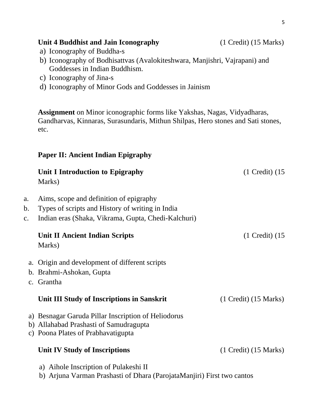|          | <b>Assignment</b> on Minor iconographic forms like Yakshas, Nagas, Vidyadharas,<br>Gandharvas, Kinnaras, Surasundaris, Mithun Shilpas, Hero stones and Sati stones,<br>etc. |                     |
|----------|-----------------------------------------------------------------------------------------------------------------------------------------------------------------------------|---------------------|
|          | <b>Paper II: Ancient Indian Epigraphy</b>                                                                                                                                   |                     |
|          | Unit I Introduction to Epigraphy<br>Marks)                                                                                                                                  | $(1$ Credit) $(15)$ |
| a.<br>b. | Aims, scope and definition of epigraphy<br>Types of scripts and History of writing in India                                                                                 |                     |

b) Iconography of Bodhisattvas (Avalokiteshwara, Manjishri, Vajrapani) and

c. Indian eras (Shaka, Vikrama, Gupta, Chedi-Kalchuri)

| Unit II Ancient Indian Scripts<br>Marks)                                                                                            | $(1$ Credit) $(15)$       |
|-------------------------------------------------------------------------------------------------------------------------------------|---------------------------|
| a. Origin and development of different scripts<br>b. Brahmi-Ashokan, Gupta                                                          |                           |
| c. Grantha                                                                                                                          |                           |
| Unit III Study of Inscriptions in Sanskrit                                                                                          | $(1$ Credit) $(15$ Marks) |
| a) Besnagar Garuda Pillar Inscription of Heliodorus<br>b) Allahabad Prashasti of Samudragupta<br>c) Poona Plates of Prabhavatigupta |                           |
| Unit IV Study of Inscriptions                                                                                                       | $(1$ Credit) $(15$ Marks) |
| a) Aihole Inscription of Pulakeshi II                                                                                               |                           |

- a) Aihole Inscription of Pulakeshi II
- b) Arjuna Varman Prashasti of Dhara (ParojataManjiri) First two cantos

Goddesses in Indian Buddhism.

d) Iconography of Minor Gods and Goddesses in Jainism

a) Iconography of Buddha-s

c) Iconography of Jina-s

5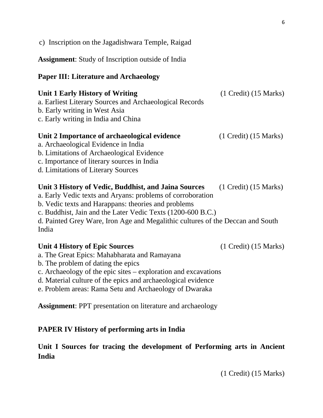| c) Inscription on the Jagadishwara Temple, Raigad                                                                                                                                                                                                                                                                                   |                           |
|-------------------------------------------------------------------------------------------------------------------------------------------------------------------------------------------------------------------------------------------------------------------------------------------------------------------------------------|---------------------------|
| <b>Assignment:</b> Study of Inscription outside of India                                                                                                                                                                                                                                                                            |                           |
| <b>Paper III: Literature and Archaeology</b>                                                                                                                                                                                                                                                                                        |                           |
| <b>Unit 1 Early History of Writing</b><br>a. Earliest Literary Sources and Archaeological Records<br>b. Early writing in West Asia<br>c. Early writing in India and China                                                                                                                                                           | $(1$ Credit) $(15$ Marks) |
| Unit 2 Importance of archaeological evidence<br>a. Archaeological Evidence in India<br>b. Limitations of Archaeological Evidence<br>c. Importance of literary sources in India<br>d. Limitations of Literary Sources                                                                                                                | $(1$ Credit) $(15$ Marks) |
| Unit 3 History of Vedic, Buddhist, and Jaina Sources<br>a. Early Vedic texts and Aryans: problems of corroboration<br>b. Vedic texts and Harappans: theories and problems<br>c. Buddhist, Jain and the Later Vedic Texts (1200-600 B.C.)<br>d. Painted Grey Ware, Iron Age and Megalithic cultures of the Deccan and South<br>India | $(1$ Credit) $(15$ Marks) |
| <b>Unit 4 History of Epic Sources</b><br>a. The Great Epics: Mahabharata and Ramayana<br>b. The problem of dating the epics<br>c. Archaeology of the epic sites – exploration and excavations                                                                                                                                       | $(1$ Credit) $(15$ Marks) |

- d. Material culture of the epics and archaeological evidence
- e. Problem areas: Rama Setu and Archaeology of Dwaraka

**Assignment**: PPT presentation on literature and archaeology

# **PAPER IV History of performing arts in India**

# **Unit I Sources for tracing the development of Performing arts in Ancient India**

(1 Credit) (15 Marks)

6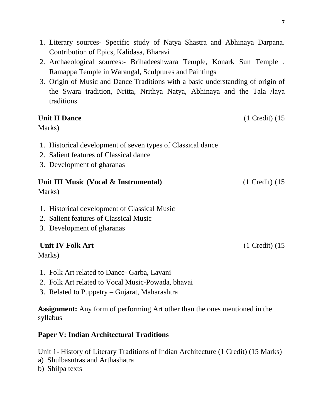- 1. Literary sources- Specific study of Natya Shastra and Abhinaya Darpana. Contribution of Epics, Kalidasa, Bharavi
- 2. Archaeological sources:- Brihadeeshwara Temple, Konark Sun Temple , Ramappa Temple in Warangal, Sculptures and Paintings
- 3. Origin of Music and Dance Traditions with a basic understanding of origin of the Swara tradition, Nritta, Nrithya Natya, Abhinaya and the Tala /laya traditions.

# **Unit II Dance** (1 Credit) (15 Marks) 1. Historical development of seven types of Classical dance 2. Salient features of Classical dance 3. Development of gharanas **Unit III Music (Vocal & Instrumental)** (1 Credit) (15 Marks) 1. Historical development of Classical Music 2. Salient features of Classical Music 3. Development of gharanas **Unit IV Folk Art** (1 Credit) (15

Marks)

- 1. Folk Art related to Dance- Garba, Lavani
- 2. Folk Art related to Vocal Music-Powada, bhavai
- 3. Related to Puppetry Gujarat, Maharashtra

**Assignment:** Any form of performing Art other than the ones mentioned in the syllabus

# **Paper V: Indian Architectural Traditions**

Unit 1- History of Literary Traditions of Indian Architecture (1 Credit) (15 Marks)

- a) Shulbasutras and Arthashatra
- b) Shilpa texts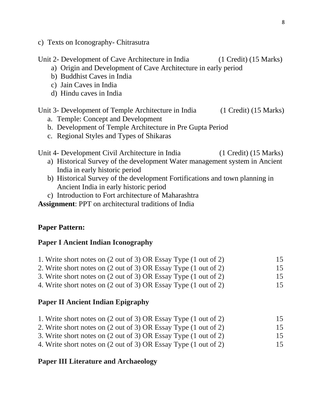c) Texts on Iconography- Chitrasutra

Unit 2- Development of Cave Architecture in India (1 Credit) (15 Marks)

- a) Origin and Development of Cave Architecture in early period
- b) Buddhist Caves in India
- c) Jain Caves in India
- d) Hindu caves in India

Unit 3- Development of Temple Architecture in India (1 Credit) (15 Marks)

- a. Temple: Concept and Development
- b. Development of Temple Architecture in Pre Gupta Period
- c. Regional Styles and Types of Shikaras

Unit 4- Development Civil Architecture in India (1 Credit) (15 Marks)

- a) Historical Survey of the development Water management system in Ancient India in early historic period
- b) Historical Survey of the development Fortifications and town planning in Ancient India in early historic period
- c) Introduction to Fort architecture of Maharashtra

**Assignment**: PPT on architectural traditions of India

# **Paper Pattern:**

# **Paper I Ancient Indian Iconography**

- 1. Write short notes on (2 out of 3) OR Essay Type (1 out of 2) 15
- 2. Write short notes on (2 out of 3) OR Essay Type (1 out of 2) 15
- 3. Write short notes on (2 out of 3) OR Essay Type (1 out of 2) 15
- 4. Write short notes on (2 out of 3) OR Essay Type (1 out of 2) 15

# **Paper II Ancient Indian Epigraphy**

- 1. Write short notes on (2 out of 3) OR Essay Type (1 out of 2) 15
- 2. Write short notes on (2 out of 3) OR Essay Type (1 out of 2) 15
- 3. Write short notes on (2 out of 3) OR Essay Type (1 out of 2) 15
- 4. Write short notes on (2 out of 3) OR Essay Type (1 out of 2) 15

# **Paper III Literature and Archaeology**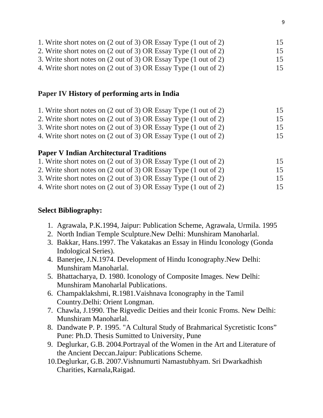4. Write short notes on (2 out of 3) OR Essay Type (1 out of 2) 15

# **Paper IV History of performing arts in India**

| 1. Write short notes on (2 out of 3) OR Essay Type (1 out of 2) | 15 |
|-----------------------------------------------------------------|----|
| 2. Write short notes on (2 out of 3) OR Essay Type (1 out of 2) | 15 |
| 3. Write short notes on (2 out of 3) OR Essay Type (1 out of 2) | 15 |

4. Write short notes on (2 out of 3) OR Essay Type (1 out of 2) 15

# **Paper V Indian Architectural Traditions**

- 1. Write short notes on (2 out of 3) OR Essay Type (1 out of 2) 15
- 2. Write short notes on (2 out of 3) OR Essay Type (1 out of 2) 15
- 3. Write short notes on (2 out of 3) OR Essay Type (1 out of 2) 15 4. Write short notes on (2 out of 3) OR Essay Type (1 out of 2) 15

# **Select Bibliography:**

- 1. Agrawala, P.K.1994, Jaipur: Publication Scheme, Agrawala, Urmila. 1995
- 2. North Indian Temple Sculpture.New Delhi: Munshiram Manoharlal.
- 3. Bakkar, Hans.1997. The Vakatakas an Essay in Hindu Iconology (Gonda Indological Series).
- 4. Banerjee, J.N.1974. Development of Hindu Iconography.New Delhi: Munshiram Manoharlal.
- 5. Bhattacharya, D. 1980. Iconology of Composite Images. New Delhi: Munshiram Manoharlal Publications.
- 6. Champaklakshmi, R.1981.Vaishnava Iconography in the Tamil Country.Delhi: Orient Longman.
- 7. Chawla, J.1990. The Rigvedic Deities and their Iconic Froms. New Delhi: Munshiram Manoharlal.
- 8. Dandwate P. P. 1995. "A Cultural Study of Brahmarical Sycretistic Icons" Pune: Ph.D. Thesis Sumitted to University, Pune
- 9. Deglurkar, G.B. 2004.Portrayal of the Women in the Art and Literature of the Ancient Deccan.Jaipur: Publications Scheme.
- 10.Deglurkar, G.B. 2007.Vishnumurti Namastubhyam. Sri Dwarkadhish Charities, Karnala,Raigad.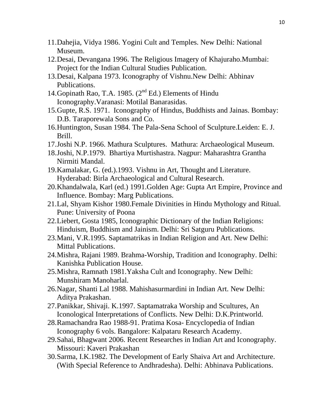- 11.Dahejia, Vidya 1986. Yogini Cult and Temples. New Delhi: National Museum.
- 12.Desai, Devangana 1996. The Religious Imagery of Khajuraho.Mumbai: Project for the Indian Cultural Studies Publication.
- 13.Desai, Kalpana 1973. Iconography of Vishnu.New Delhi: Abhinav Publications.
- 14. Gopinath Rao, T.A. 1985.  $(2^{nd} Ed.)$  Elements of Hindu Iconography.Varanasi: Motilal Banarasidas.
- 15.Gupte, R.S. 1971. Iconography of Hindus, Buddhists and Jainas. Bombay: D.B. Taraporewala Sons and Co.
- 16.Huntington, Susan 1984. The Pala-Sena School of Sculpture.Leiden: E. J. Brill.
- 17.Joshi N.P. 1966. Mathura Sculptures. Mathura: Archaeological Museum.
- 18.Joshi, N.P.1979. Bhartiya Murtishastra. Nagpur: Maharashtra Grantha Nirmiti Mandal.
- 19.Kamalakar, G. (ed.).1993. Vishnu in Art, Thought and Literature. Hyderabad: Birla Archaeological and Cultural Research.
- 20.Khandalwala, Karl (ed.) 1991.Golden Age: Gupta Art Empire, Province and Influence. Bombay: Marg Publications.
- 21.Lal, Shyam Kishor 1980.Female Divinities in Hindu Mythology and Ritual. Pune: University of Poona
- 22.Liebert, Gosta 1985, Iconographic Dictionary of the Indian Religions: Hinduism, Buddhism and Jainism. Delhi: Sri Satguru Publications.
- 23.Mani, V.R.1995. Saptamatrikas in Indian Religion and Art. New Delhi: Mittal Publications.
- 24.Mishra, Rajani 1989. Brahma-Worship, Tradition and Iconography. Delhi: Kanishka Publication House.
- 25.Mishra, Ramnath 1981.Yaksha Cult and Iconography. New Delhi: Munshiram Manoharlal.
- 26.Nagar, Shanti Lal 1988. Mahishasurmardini in Indian Art. New Delhi: Aditya Prakashan.
- 27.Panikkar, Shivaji. K.1997. Saptamatraka Worship and Scultures, An Iconological Interpretations of Conflicts. New Delhi: D.K.Printworld.
- 28.Ramachandra Rao 1988-91. Pratima Kosa- Encyclopedia of Indian Iconography 6 vols. Bangalore: Kalpataru Research Academy.
- 29.Sahai, Bhagwant 2006. Recent Researches in Indian Art and Iconography. Missouri: Kaveri Prakashan
- 30.Sarma, I.K.1982. The Development of Early Shaiva Art and Architecture. (With Special Reference to Andhradesha). Delhi: Abhinava Publications.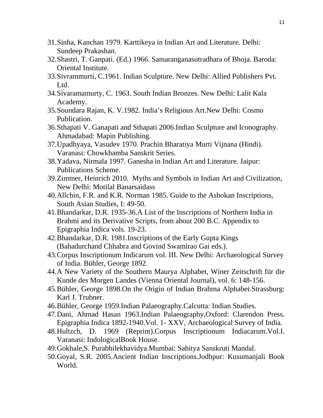- 31.Sinha, Kanchan 1979. Karttikeya in Indian Art and Literature. Delhi: Sundeep Prakashan.
- 32.Shastri, T. Ganpati. (Ed.) 1966. Samaranganasutradhara of Bhoja. Baroda: Oriental Institute.
- 33.Sivrammurti, C.1961. Indian Sculpture. New Delhi: Allied Publishers Pvt. Ltd.
- 34.Sivaramamurty, C. 1963. South Indian Bronzes. New Delhi: Lalit Kala Academy.
- 35.Soundara Rajan, K. V.1982. India's Religious Art.New Delhi: Cosmo Publication.
- 36.Sthapati V. Ganapati and Sthapati 2006.Indian Sculpture and Iconography. Ahmadabad: Mapin Publishing.
- 37.Upadhyaya, Vasudev 1970. Prachin Bharatiya Murti Vijnana (Hindi). Varanasi: Chowkhamba Sanskrit Series.
- 38.Yadava, Nirmala 1997. Ganesha in Indian Art and Literature. Jaipur: Publications Scheme.
- 39.Zimmer, Heinrich 2010. Myths and Symbols in Indian Art and Civilization, New Delhi: Motilal Banarsaidass
- 40.Allchin, F.R. and K.R. Norman 1985. Guide to the Ashokan Inscriptions, South Asian Studies, I: 49-50.
- 41.Bhandarkar, D.R. 1935-36.A List of the Inscriptions of Northern India in Brahmi and its Derivative Scripts, from about 200 B.C. Appendix to Epigraphia Indica vols. 19-23.
- 42.Bhandarkar, D.R. 1981.Inscriptions of the Early Gupta Kings (Bahadurchand Chhabra and Govind Swamirao Gai eds.).
- 43.Corpus Inscriptionum Indicarum vol. III. New Delhi: Archaeological Survey of India. Bühler, George 1892.
- 44.A New Variety of the Southern Maurya Alphabet, Winer Zeitschrift für die Kunde des Morgen Landes (Vienna Oriental Journal), vol. 6: 148-156.
- 45.Bühler, George 1898.On the Origin of Indian Brahma Alphabet.Strassburg: Karl J. Trubner.
- 46.Bühler, George 1959.Indian Palaeography.Calcutta: Indian Studies.
- 47.Dani, Ahmad Hasan 1963.Indian Palaeography,Oxford: Clarendon Press. Epigraphia Indica 1892-1940.Vol. 1- XXV, Archaeological Survey of India.
- 48.Hultzch, D. 1969 (Reprint).Corpus Inscriptionum Indiacarum.Vol.I. Varanasi: IndologicalBook House.
- 49.Gokhale,S. Purabhilekhavidya.Mumbai: Sahitya Sanskruti Mandal.
- 50.Goyal, S.R. 2005.Ancient Indian Inscriptions.Jodhpur: Kusumanjali Book World.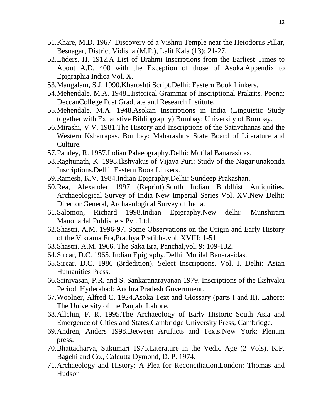- 51.Khare, M.D. 1967. Discovery of a Vishnu Temple near the Heiodorus Pillar, Besnagar, District Vidisha (M.P.), Lalit Kala (13): 21-27.
- 52.Lüders, H. 1912.A List of Brahmi Inscriptions from the Earliest Times to About A.D. 400 with the Exception of those of Asoka.Appendix to Epigraphia Indica Vol. X.
- 53.Mangalam, S.J. 1990.Kharoshti Script.Delhi: Eastern Book Linkers.
- 54.Mehendale, M.A. 1948.Historical Grammar of Inscriptional Prakrits. Poona: DeccanCollege Post Graduate and Research Institute.
- 55.Mehendale, M.A. 1948.Asokan Inscriptions in India (Linguistic Study together with Exhaustive Bibliography).Bombay: University of Bombay.
- 56.Mirashi, V.V. 1981.The History and Inscriptions of the Satavahanas and the Western Kshatrapas. Bombay: Maharashtra State Board of Literature and Culture.
- 57.Pandey, R. 1957.Indian Palaeography.Delhi: Motilal Banarasidas.
- 58.Raghunath, K. 1998.Ikshvakus of Vijaya Puri: Study of the Nagarjunakonda Inscriptions.Delhi: Eastern Book Linkers.
- 59.Ramesh, K.V. 1984.Indian Epigraphy.Delhi: Sundeep Prakashan.
- 60.Rea, Alexander 1997 (Reprint).South Indian Buddhist Antiquities. Archaeological Survey of India New Imperial Series Vol. XV.New Delhi: Director General, Archaeological Survey of India.
- 61.Salomon, Richard 1998.Indian Epigraphy.New delhi: Munshiram Manoharlal Publishers Pvt. Ltd.
- 62.Shastri, A.M. 1996-97. Some Observations on the Origin and Early History of the Vikrama Era,Prachya Pratibha,vol. XVIII: 1-51.
- 63.Shastri, A.M. 1966. The Saka Era, Panchal,vol. 9: 109-132.
- 64.Sircar, D.C. 1965. Indian Epigraphy.Delhi: Motilal Banarasidas.
- 65.Sircar, D.C. 1986 (3rdedition). Select Inscriptions. Vol. I. Delhi: Asian Humanities Press.
- 66.Srinivasan, P.R. and S. Sankaranarayanan 1979. Inscriptions of the Ikshvaku Period. Hyderabad: Andhra Pradesh Government.
- 67.Woolner, Alfred C. 1924.Asoka Text and Glossary (parts I and II). Lahore: The University of the Panjab, Lahore.
- 68.Allchin, F. R. 1995.The Archaeology of Early Historic South Asia and Emergence of Cities and States.Cambridge University Press, Cambridge.
- 69.Andren, Anders 1998.Between Artifacts and Texts.New York: Plenum press.
- 70.Bhattacharya, Sukumari 1975.Literature in the Vedic Age (2 Vols). K.P. Bagehi and Co., Calcutta Dymond, D. P. 1974.
- 71.Archaeology and History: A Plea for Reconciliation.London: Thomas and Hudson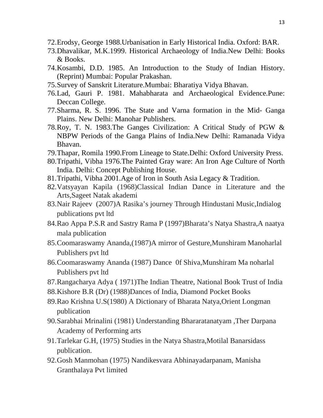- 72.Erodsy, George 1988.Urbanisation in Early Historical India. Oxford: BAR.
- 73.Dhavalikar, M.K.1999. Historical Archaeology of India.New Delhi: Books & Books.
- 74.Kosambi, D.D. 1985. An Introduction to the Study of Indian History. (Reprint) Mumbai: Popular Prakashan.
- 75.Survey of Sanskrit Literature.Mumbai: Bharatiya Vidya Bhavan.
- 76.Lad, Gauri P. 1981. Mahabharata and Archaeological Evidence.Pune: Deccan College.
- 77.Sharma, R. S. 1996. The State and Varna formation in the Mid- Ganga Plains. New Delhi: Manohar Publishers.
- 78.Roy, T. N. 1983.The Ganges Civilization: A Critical Study of PGW & NBPW Periods of the Ganga Plains of India.New Delhi: Ramanada Vidya Bhavan.
- 79.Thapar, Romila 1990.From Lineage to State.Delhi: Oxford University Press.
- 80.Tripathi, Vibha 1976.The Painted Gray ware: An Iron Age Culture of North India. Delhi: Concept Publishing House.
- 81.Tripathi, Vibha 2001.Age of Iron in South Asia Legacy & Tradition.
- 82.Vatsyayan Kapila (1968)Classical Indian Dance in Literature and the Arts,Sageet Natak akademi
- 83.Nair Rajeev (2007)A Rasika's journey Through Hindustani Music,Indialog publications pvt ltd
- 84.Rao Appa P.S.R and Sastry Rama P (1997)Bharata's Natya Shastra,A naatya mala publication
- 85.Coomaraswamy Ananda,(1987)A mirror of Gesture,Munshiram Manoharlal Publishers pvt ltd
- 86.Coomaraswamy Ananda (1987) Dance 0f Shiva,Munshiram Ma noharlal Publishers pvt ltd
- 87.Rangacharya Adya ( 1971)The Indian Theatre, National Book Trust of India
- 88.Kishore B.R (Dr) (1988)Dances of India, Diamond Pocket Books
- 89.Rao Krishna U.S(1980) A Dictionary of Bharata Natya,Orient Longman publication
- 90.Sarabhai Mrinalini (1981) Understanding Bhararatanatyam ,Ther Darpana Academy of Performing arts
- 91.Tarlekar G.H, (1975) Studies in the Natya Shastra,Motilal Banarsidass publication.
- 92.Gosh Manmohan (1975) Nandikesvara Abhinayadarpanam, Manisha Granthalaya Pvt limited